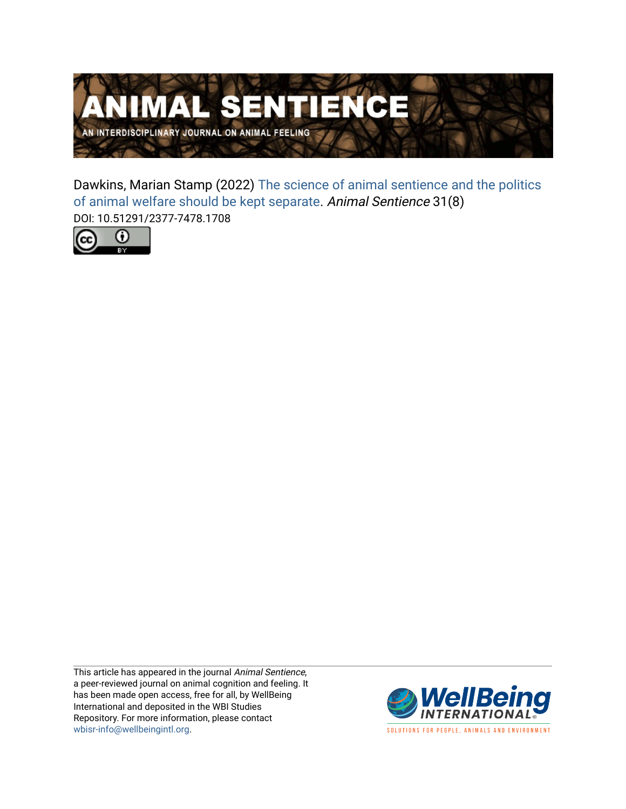

Dawkins, Marian Stamp (2022) [The science of animal sentience and the politics](https://www.wellbeingintlstudiesrepository.org/animsent/vol6/iss31/8)  [of animal welfare should be kept separate](https://www.wellbeingintlstudiesrepository.org/animsent/vol6/iss31/8). Animal Sentience 31(8) DOI: 10.51291/2377-7478.1708



This article has appeared in the journal Animal Sentience, a peer-reviewed journal on animal cognition and feeling. It has been made open access, free for all, by WellBeing International and deposited in the WBI Studies Repository. For more information, please contact [wbisr-info@wellbeingintl.org](mailto:wbisr-info@wellbeingintl.org).



SOLUTIONS FOR PEOPLE, ANIMALS AND ENVIRONMENT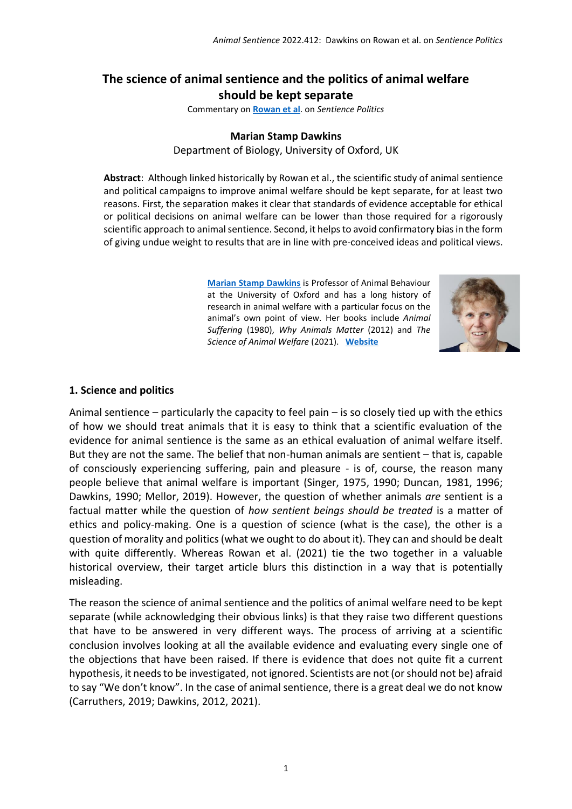# **The science of animal sentience and the politics of animal welfare should be kept separate**

Commentary on **[Rowan et](https://www.wellbeingintlstudiesrepository.org/animsent/vol6/iss31/1/) al**. on *Sentience Politics*

#### **Marian Stamp Dawkins**

Department of Biology, University of Oxford, UK

**Abstract**: Although linked historically by Rowan et al., the scientific study of animal sentience and political campaigns to improve animal welfare should be kept separate, for at least two reasons. First, the separation makes it clear that standards of evidence acceptable for ethical or political decisions on animal welfare can be lower than those required for a rigorously scientific approach to animal sentience. Second, it helps to avoid confirmatory bias in the form of giving undue weight to results that are in line with pre-conceived ideas and political views.

> **[Marian Stamp Dawkins](mailto:marian.dawkins@zoo.ox.ac.uk)** is Professor of Animal Behaviour at the University of Oxford and has a long history of research in animal welfare with a particular focus on the animal's own point of view. Her books include *Animal Suffering* (1980), *Why Animals Matter* (2012) and *The Science of Animal Welfare* (2021). **[Website](https://mariandawkins.wixsite.com/mysite)**



#### **1. Science and politics**

Animal sentience – particularly the capacity to feel pain – is so closely tied up with the ethics of how we should treat animals that it is easy to think that a scientific evaluation of the evidence for animal sentience is the same as an ethical evaluation of animal welfare itself. But they are not the same. The belief that non-human animals are sentient – that is, capable of consciously experiencing suffering, pain and pleasure - is of, course, the reason many people believe that animal welfare is important (Singer, 1975, 1990; Duncan, 1981, 1996; Dawkins, 1990; Mellor, 2019). However, the question of whether animals *are* sentient is a factual matter while the question of *how sentient beings should be treated* is a matter of ethics and policy-making. One is a question of science (what is the case), the other is a question of morality and politics (what we ought to do about it). They can and should be dealt with quite differently. Whereas Rowan et al. (2021) tie the two together in a valuable historical overview, their target article blurs this distinction in a way that is potentially misleading.

The reason the science of animal sentience and the politics of animal welfare need to be kept separate (while acknowledging their obvious links) is that they raise two different questions that have to be answered in very different ways. The process of arriving at a scientific conclusion involves looking at all the available evidence and evaluating every single one of the objections that have been raised. If there is evidence that does not quite fit a current hypothesis, it needs to be investigated, not ignored. Scientists are not (or should not be) afraid to say "We don't know". In the case of animal sentience, there is a great deal we do not know (Carruthers, 2019; Dawkins, 2012, 2021).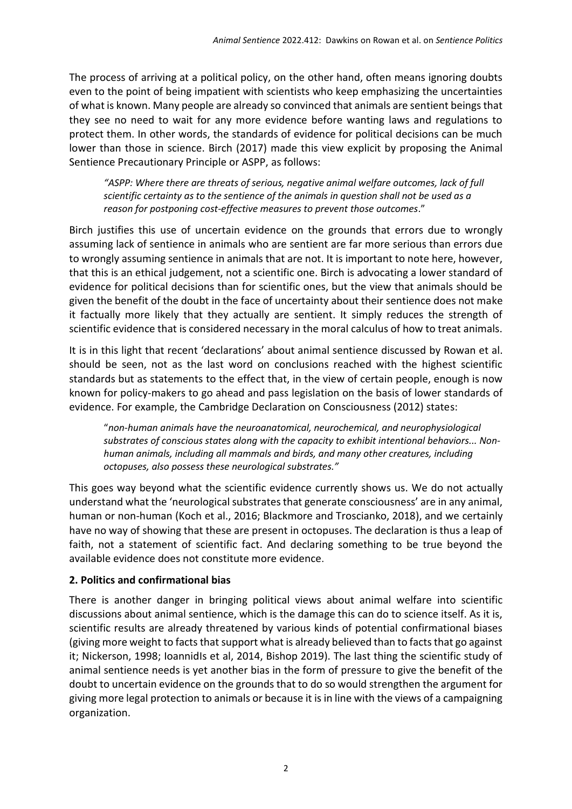The process of arriving at a political policy, on the other hand, often means ignoring doubts even to the point of being impatient with scientists who keep emphasizing the uncertainties of what is known. Many people are already so convinced that animals are sentient beings that they see no need to wait for any more evidence before wanting laws and regulations to protect them. In other words, the standards of evidence for political decisions can be much lower than those in science. Birch (2017) made this view explicit by proposing the Animal Sentience Precautionary Principle or ASPP, as follows:

*"ASPP: Where there are threats of serious, negative animal welfare outcomes, lack of full scientific certainty as to the sentience of the animals in question shall not be used as a reason for postponing cost-effective measures to prevent those outcomes*."

Birch justifies this use of uncertain evidence on the grounds that errors due to wrongly assuming lack of sentience in animals who are sentient are far more serious than errors due to wrongly assuming sentience in animals that are not. It is important to note here, however, that this is an ethical judgement, not a scientific one. Birch is advocating a lower standard of evidence for political decisions than for scientific ones, but the view that animals should be given the benefit of the doubt in the face of uncertainty about their sentience does not make it factually more likely that they actually are sentient. It simply reduces the strength of scientific evidence that is considered necessary in the moral calculus of how to treat animals.

It is in this light that recent 'declarations' about animal sentience discussed by Rowan et al. should be seen, not as the last word on conclusions reached with the highest scientific standards but as statements to the effect that, in the view of certain people, enough is now known for policy-makers to go ahead and pass legislation on the basis of lower standards of evidence. For example, the Cambridge Declaration on Consciousness (2012) states:

"*non-human animals have the neuroanatomical, neurochemical, and neurophysiological substrates of conscious states along with the capacity to exhibit intentional behaviors... Nonhuman animals, including all mammals and birds, and many other creatures, including octopuses, also possess these neurological substrates."* 

This goes way beyond what the scientific evidence currently shows us. We do not actually understand what the 'neurological substrates that generate consciousness' are in any animal, human or non-human (Koch et al., 2016; Blackmore and Troscianko, 2018), and we certainly have no way of showing that these are present in octopuses. The declaration is thus a leap of faith, not a statement of scientific fact. And declaring something to be true beyond the available evidence does not constitute more evidence.

### **2. Politics and confirmational bias**

There is another danger in bringing political views about animal welfare into scientific discussions about animal sentience, which is the damage this can do to science itself. As it is, scientific results are already threatened by various kinds of potential confirmational biases (giving more weight to facts that support what is already believed than to facts that go against it; Nickerson, 1998; IoannidIs et al, 2014, Bishop 2019). The last thing the scientific study of animal sentience needs is yet another bias in the form of pressure to give the benefit of the doubt to uncertain evidence on the grounds that to do so would strengthen the argument for giving more legal protection to animals or because it is in line with the views of a campaigning organization.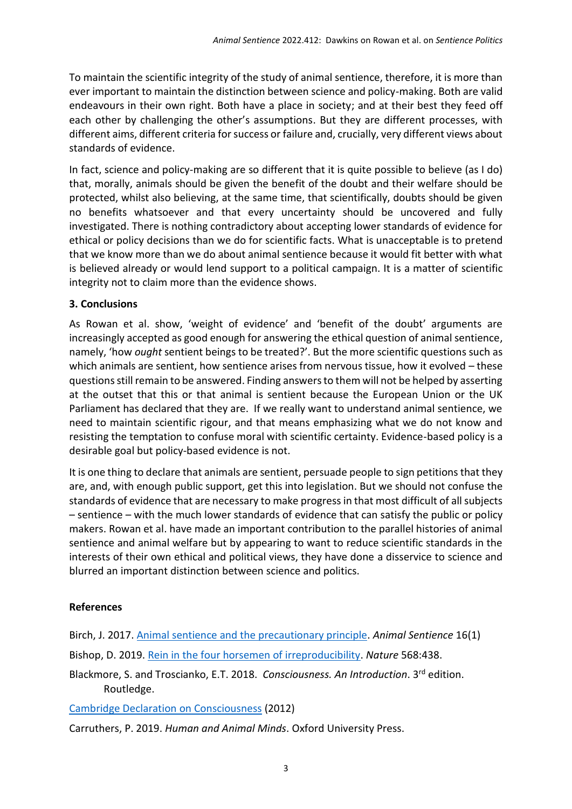To maintain the scientific integrity of the study of animal sentience, therefore, it is more than ever important to maintain the distinction between science and policy-making. Both are valid endeavours in their own right. Both have a place in society; and at their best they feed off each other by challenging the other's assumptions. But they are different processes, with different aims, different criteria for success or failure and, crucially, very different views about standards of evidence.

In fact, science and policy-making are so different that it is quite possible to believe (as I do) that, morally, animals should be given the benefit of the doubt and their welfare should be protected, whilst also believing, at the same time, that scientifically, doubts should be given no benefits whatsoever and that every uncertainty should be uncovered and fully investigated. There is nothing contradictory about accepting lower standards of evidence for ethical or policy decisions than we do for scientific facts. What is unacceptable is to pretend that we know more than we do about animal sentience because it would fit better with what is believed already or would lend support to a political campaign. It is a matter of scientific integrity not to claim more than the evidence shows.

## **3. Conclusions**

As Rowan et al. show, 'weight of evidence' and 'benefit of the doubt' arguments are increasingly accepted as good enough for answering the ethical question of animal sentience, namely, 'how *ought* sentient beings to be treated?'. But the more scientific questions such as which animals are sentient, how sentience arises from nervous tissue, how it evolved – these questions still remain to be answered. Finding answers to them will not be helped by asserting at the outset that this or that animal is sentient because the European Union or the UK Parliament has declared that they are. If we really want to understand animal sentience, we need to maintain scientific rigour, and that means emphasizing what we do not know and resisting the temptation to confuse moral with scientific certainty. Evidence-based policy is a desirable goal but policy-based evidence is not.

It is one thing to declare that animals are sentient, persuade people to sign petitions that they are, and, with enough public support, get this into legislation. But we should not confuse the standards of evidence that are necessary to make progress in that most difficult of all subjects – sentience – with the much lower standards of evidence that can satisfy the public or policy makers. Rowan et al. have made an important contribution to the parallel histories of animal sentience and animal welfare but by appearing to want to reduce scientific standards in the interests of their own ethical and political views, they have done a disservice to science and blurred an important distinction between science and politics.

### **References**

Birch, J. 2017. [Animal sentience and the precautionary principle.](https://doi.org/10.51291/2377-7478.1200) *Animal Sentience* 16(1) Bishop, D. 2019. [Rein in the four horsemen of irreproducibility.](https://media.nature.com/original/magazine-assets/d41586-019-01307-2/d41586-019-01307-2.pdf) *Nature* 568:438.

Blackmore, S. and Troscianko, E.T. 2018. *Consciousness. An Introduction*. 3rd edition. Routledge.

[Cambridge Declaration](https://fcmconference.org/img/CambridgeDeclarationOnConsciousness.pdf) on Consciousness (2012)

Carruthers, P. 2019. *Human and Animal Minds*. Oxford University Press.